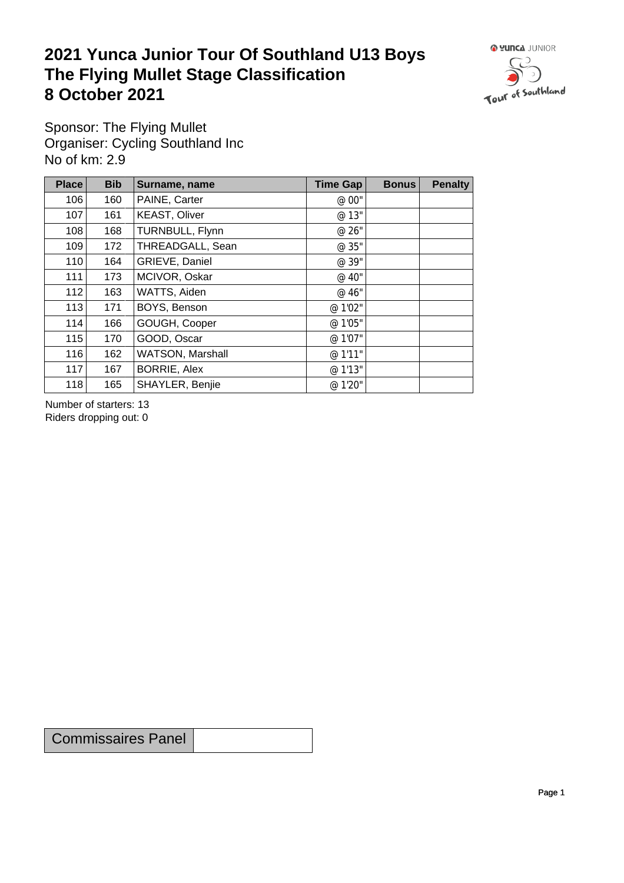## **2021 Yunca Junior Tour Of Southland U13 Boys** The Flying Mullet Stage Classification<br>8 October 2021 **8 October 2021**



Sponsor: The Flying Mullet Organiser: Cycling Southland Inc No of km: 2.9

| Place | <b>Bib</b> | Surname, name        | Time Gap | <b>Bonus</b> | <b>Penalty</b> |
|-------|------------|----------------------|----------|--------------|----------------|
| 106   | 160        | PAINE, Carter        | @ 00"    |              |                |
| 107   | 161        | <b>KEAST, Oliver</b> | @ 13"    |              |                |
| 108   | 168        | TURNBULL, Flynn      | @ 26"    |              |                |
| 109   | 172        | THREADGALL, Sean     | @ 35"    |              |                |
| 110   | 164        | GRIEVE, Daniel       | @ 39"    |              |                |
| 111   | 173        | MCIVOR, Oskar        | @ 40"    |              |                |
| 112   | 163        | WATTS, Aiden         | @ 46"    |              |                |
| 113   | 171        | BOYS, Benson         | @ 1'02"  |              |                |
| 114   | 166        | GOUGH, Cooper        | @ 1'05"  |              |                |
| 115   | 170        | GOOD, Oscar          | @ 1'07"  |              |                |
| 116   | 162        | WATSON, Marshall     | @ 1'11"  |              |                |
| 117   | 167        | <b>BORRIE, Alex</b>  | @ 1'13"  |              |                |
| 118   | 165        | SHAYLER, Benjie      | @ 1'20"  |              |                |

Number of starters: 13 Riders dropping out: 0

Commissaires Panel